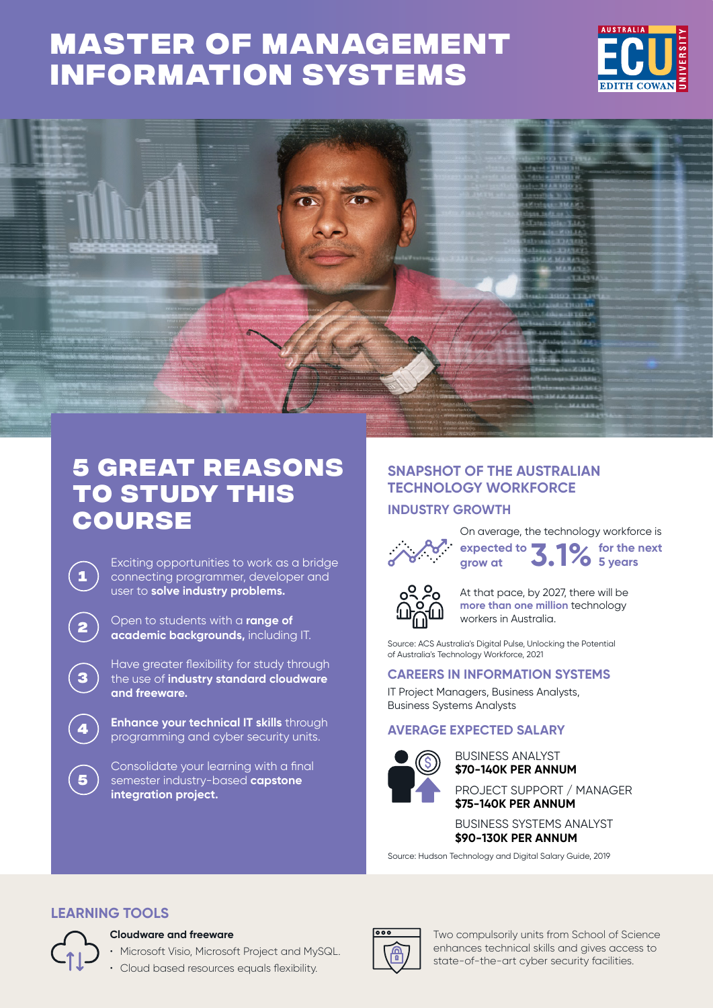# **[Master of Management](https://www.ecu.edu.au/degrees/courses/master-of-management-information-systems)  Information Systems**





## **5 great reasons to study this course**

Exciting opportunities to work as a bridge connecting programmer, developer and user to **solve industry problems.**

**<sup>2</sup>** Open to students with a **range of academic backgrounds,** including IT.

Have greater flexibility for study through the use of **industry standard cloudware and freeware.**

**Enhance your technical IT skills** through programming and cyber security units.

Consolidate your learning with a final semester industry-based **capstone integration project.**

## **SNAPSHOT OF THE AUSTRALIAN TECHNOLOGY WORKFORCE INDUSTRY GROWTH**



On average, the technology workforce is **expected to grow at 3.1% for the next 5 years**



At that pace, by 2027, there will be **more than one million** technology workers in Australia.

Source: ACS Australia's Digital Pulse, Unlocking the Potential of Australia's Technology Workforce, 2021

### **CAREERS IN INFORMATION SYSTEMS**

IT Project Managers, Business Analysts, Business Systems Analysts

## **AVERAGE EXPECTED SALARY**



**\$70-140K PER ANNUM** BUSINESS ANALYST

**\$75-140K PER ANNUM** PROJECT SUPPORT / MANAGER

**\$90-130K PER ANNUM** BUSINESS SYSTEMS ANALYST

Source: Hudson Technology and Digital Salary Guide, 2019

## **LEARNING TOOLS**



**1**

**3**

**5**

#### **Cloudware and freeware**

• Microsoft Visio, Microsoft Project and MySQL.

• Cloud based resources equals flexibility.



Two compulsorily units from School of Science enhances technical skills and gives access to state-of-the-art cyber security facilities.